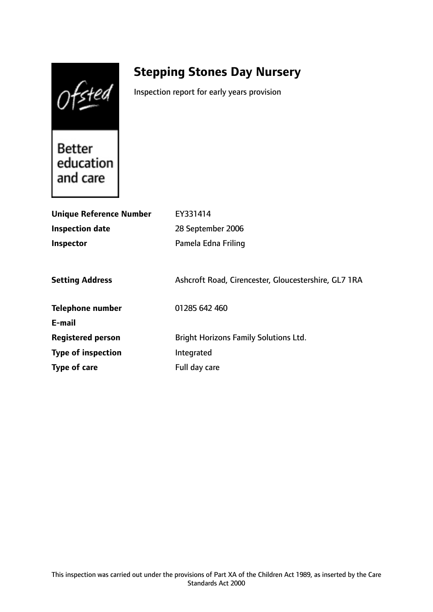Ofsted

# **Stepping Stones Day Nursery**

Inspection report for early years provision

**Better** education and care

| <b>Unique Reference Number</b> | EY331414                                             |
|--------------------------------|------------------------------------------------------|
| <b>Inspection date</b>         | 28 September 2006                                    |
| <b>Inspector</b>               | Pamela Edna Friling                                  |
|                                |                                                      |
| <b>Setting Address</b>         | Ashcroft Road, Cirencester, Gloucestershire, GL7 1RA |
| <b>Telephone number</b>        | 01285 642 460                                        |
| E-mail                         |                                                      |
| <b>Registered person</b>       | <b>Bright Horizons Family Solutions Ltd.</b>         |
| <b>Type of inspection</b>      | Integrated                                           |
| Type of care                   | Full day care                                        |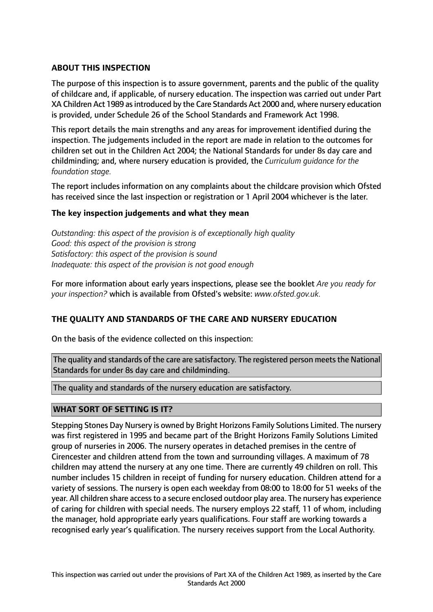# **ABOUT THIS INSPECTION**

The purpose of this inspection is to assure government, parents and the public of the quality of childcare and, if applicable, of nursery education. The inspection was carried out under Part XA Children Act 1989 asintroduced by the Care Standards Act 2000 and, where nursery education is provided, under Schedule 26 of the School Standards and Framework Act 1998.

This report details the main strengths and any areas for improvement identified during the inspection. The judgements included in the report are made in relation to the outcomes for children set out in the Children Act 2004; the National Standards for under 8s day care and childminding; and, where nursery education is provided, the *Curriculum guidance for the foundation stage.*

The report includes information on any complaints about the childcare provision which Ofsted has received since the last inspection or registration or 1 April 2004 whichever is the later.

## **The key inspection judgements and what they mean**

*Outstanding: this aspect of the provision is of exceptionally high quality Good: this aspect of the provision is strong Satisfactory: this aspect of the provision is sound Inadequate: this aspect of the provision is not good enough*

For more information about early years inspections, please see the booklet *Are you ready for your inspection?* which is available from Ofsted's website: *www.ofsted.gov.uk.*

## **THE QUALITY AND STANDARDS OF THE CARE AND NURSERY EDUCATION**

On the basis of the evidence collected on this inspection:

The quality and standards of the care are satisfactory. The registered person meets the National Standards for under 8s day care and childminding.

The quality and standards of the nursery education are satisfactory.

## **WHAT SORT OF SETTING IS IT?**

Stepping Stones Day Nursery is owned by Bright Horizons Family Solutions Limited. The nursery was first registered in 1995 and became part of the Bright Horizons Family Solutions Limited group of nurseries in 2006. The nursery operates in detached premises in the centre of Cirencester and children attend from the town and surrounding villages. A maximum of 78 children may attend the nursery at any one time. There are currently 49 children on roll. This number includes 15 children in receipt of funding for nursery education. Children attend for a variety of sessions. The nursery is open each weekday from 08:00 to 18:00 for 51 weeks of the year. All children share access to a secure enclosed outdoor play area. The nursery has experience of caring for children with special needs. The nursery employs 22 staff, 11 of whom, including the manager, hold appropriate early years qualifications. Four staff are working towards a recognised early year's qualification. The nursery receives support from the Local Authority.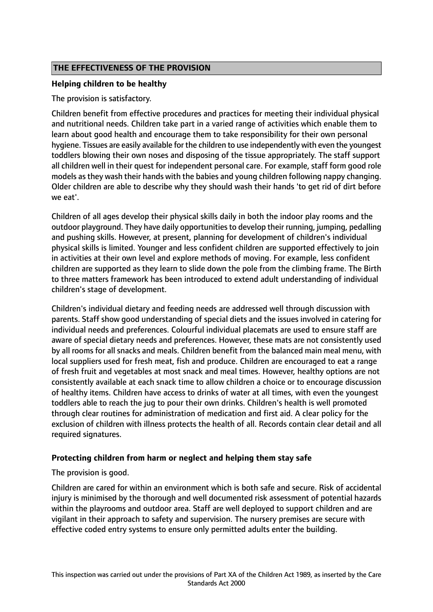# **THE EFFECTIVENESS OF THE PROVISION**

# **Helping children to be healthy**

The provision is satisfactory.

Children benefit from effective procedures and practices for meeting their individual physical and nutritional needs. Children take part in a varied range of activities which enable them to learn about good health and encourage them to take responsibility for their own personal hygiene. Tissues are easily available for the children to use independently with even the youngest toddlers blowing their own noses and disposing of the tissue appropriately. The staff support all children well in their quest for independent personal care. For example, staff form good role models as they wash their hands with the babies and young children following nappy changing. Older children are able to describe why they should wash their hands 'to get rid of dirt before we eat'.

Children of all ages develop their physical skills daily in both the indoor play rooms and the outdoor playground. They have daily opportunities to develop their running, jumping, pedalling and pushing skills. However, at present, planning for development of children's individual physical skills is limited. Younger and less confident children are supported effectively to join in activities at their own level and explore methods of moving. For example, less confident children are supported as they learn to slide down the pole from the climbing frame. The Birth to three matters framework has been introduced to extend adult understanding of individual children's stage of development.

Children's individual dietary and feeding needs are addressed well through discussion with parents. Staff show good understanding of special diets and the issues involved in catering for individual needs and preferences. Colourful individual placemats are used to ensure staff are aware of special dietary needs and preferences. However, these mats are not consistently used by all rooms for all snacks and meals. Children benefit from the balanced main meal menu, with local suppliers used for fresh meat, fish and produce. Children are encouraged to eat a range of fresh fruit and vegetables at most snack and meal times. However, healthy options are not consistently available at each snack time to allow children a choice or to encourage discussion of healthy items. Children have access to drinks of water at all times, with even the youngest toddlers able to reach the jug to pour their own drinks. Children's health is well promoted through clear routines for administration of medication and first aid. A clear policy for the exclusion of children with illness protects the health of all. Records contain clear detail and all required signatures.

## **Protecting children from harm or neglect and helping them stay safe**

The provision is good.

Children are cared for within an environment which is both safe and secure. Risk of accidental injury is minimised by the thorough and well documented risk assessment of potential hazards within the playrooms and outdoor area. Staff are well deployed to support children and are vigilant in their approach to safety and supervision. The nursery premises are secure with effective coded entry systems to ensure only permitted adults enter the building.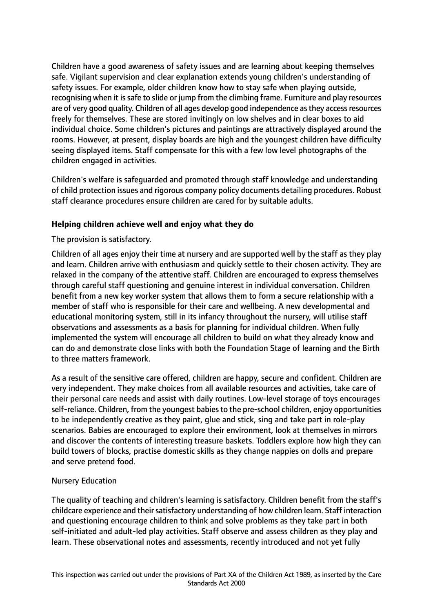Children have a good awareness of safety issues and are learning about keeping themselves safe. Vigilant supervision and clear explanation extends young children's understanding of safety issues. For example, older children know how to stay safe when playing outside, recognising when it issafe to slide or jump from the climbing frame. Furniture and play resources are of very good quality. Children of all ages develop good independence as they access resources freely for themselves. These are stored invitingly on low shelves and in clear boxes to aid individual choice. Some children's pictures and paintings are attractively displayed around the rooms. However, at present, display boards are high and the youngest children have difficulty seeing displayed items. Staff compensate for this with a few low level photographs of the children engaged in activities.

Children's welfare is safeguarded and promoted through staff knowledge and understanding of child protection issues and rigorous company policy documents detailing procedures. Robust staff clearance procedures ensure children are cared for by suitable adults.

## **Helping children achieve well and enjoy what they do**

The provision is satisfactory.

Children of all ages enjoy their time at nursery and are supported well by the staff as they play and learn. Children arrive with enthusiasm and quickly settle to their chosen activity. They are relaxed in the company of the attentive staff. Children are encouraged to express themselves through careful staff questioning and genuine interest in individual conversation. Children benefit from a new key worker system that allows them to form a secure relationship with a member of staff who is responsible for their care and wellbeing. A new developmental and educational monitoring system, still in its infancy throughout the nursery, will utilise staff observations and assessments as a basis for planning for individual children. When fully implemented the system will encourage all children to build on what they already know and can do and demonstrate close links with both the Foundation Stage of learning and the Birth to three matters framework.

As a result of the sensitive care offered, children are happy, secure and confident. Children are very independent. They make choices from all available resources and activities, take care of their personal care needs and assist with daily routines. Low-level storage of toys encourages self-reliance. Children, from the youngest babies to the pre-school children, enjoy opportunities to be independently creative as they paint, glue and stick, sing and take part in role-play scenarios. Babies are encouraged to explore their environment, look at themselves in mirrors and discover the contents of interesting treasure baskets. Toddlers explore how high they can build towers of blocks, practise domestic skills as they change nappies on dolls and prepare and serve pretend food.

#### Nursery Education

The quality of teaching and children's learning is satisfactory. Children benefit from the staff's childcare experience and their satisfactory understanding of how children learn. Staff interaction and questioning encourage children to think and solve problems as they take part in both self-initiated and adult-led play activities. Staff observe and assess children as they play and learn. These observational notes and assessments, recently introduced and not yet fully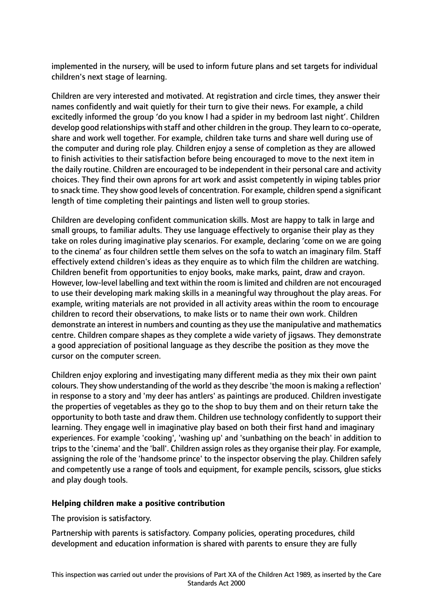implemented in the nursery, will be used to inform future plans and set targets for individual children's next stage of learning.

Children are very interested and motivated. At registration and circle times, they answer their names confidently and wait quietly for their turn to give their news. For example, a child excitedly informed the group 'do you know I had a spider in my bedroom last night'. Children develop good relationships with staff and other children in the group. They learn to co-operate, share and work well together. For example, children take turns and share well during use of the computer and during role play. Children enjoy a sense of completion as they are allowed to finish activities to their satisfaction before being encouraged to move to the next item in the daily routine. Children are encouraged to be independent in their personal care and activity choices. They find their own aprons for art work and assist competently in wiping tables prior to snack time. They show good levels of concentration. For example, children spend a significant length of time completing their paintings and listen well to group stories.

Children are developing confident communication skills. Most are happy to talk in large and small groups, to familiar adults. They use language effectively to organise their play as they take on roles during imaginative play scenarios. For example, declaring 'come on we are going to the cinema' as four children settle them selves on the sofa to watch an imaginary film. Staff effectively extend children's ideas as they enquire as to which film the children are watching. Children benefit from opportunities to enjoy books, make marks, paint, draw and crayon. However, low-level labelling and text within the room islimited and children are not encouraged to use their developing mark making skills in a meaningful way throughout the play areas. For example, writing materials are not provided in all activity areas within the room to encourage children to record their observations, to make lists or to name their own work. Children demonstrate an interest in numbers and counting asthey use the manipulative and mathematics centre. Children compare shapes as they complete a wide variety of jigsaws. They demonstrate a good appreciation of positional language as they describe the position as they move the cursor on the computer screen.

Children enjoy exploring and investigating many different media as they mix their own paint colours. They show understanding of the world asthey describe 'the moon is making a reflection' in response to a story and 'my deer has antlers' as paintings are produced. Children investigate the properties of vegetables as they go to the shop to buy them and on their return take the opportunity to both taste and draw them. Children use technology confidently to support their learning. They engage well in imaginative play based on both their first hand and imaginary experiences. For example 'cooking', 'washing up' and 'sunbathing on the beach' in addition to trips to the 'cinema' and the 'ball'. Children assign roles as they organise their play. For example, assigning the role of the 'handsome prince' to the inspector observing the play. Children safely and competently use a range of tools and equipment, for example pencils, scissors, glue sticks and play dough tools.

## **Helping children make a positive contribution**

The provision is satisfactory.

Partnership with parents is satisfactory. Company policies, operating procedures, child development and education information is shared with parents to ensure they are fully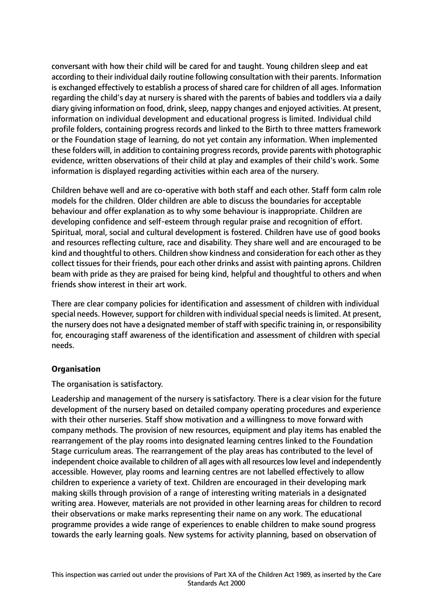conversant with how their child will be cared for and taught. Young children sleep and eat according to their individual daily routine following consultation with their parents. Information is exchanged effectively to establish a process of shared care for children of all ages. Information regarding the child's day at nursery is shared with the parents of babies and toddlers via a daily diary giving information on food, drink, sleep, nappy changes and enjoyed activities. At present, information on individual development and educational progress is limited. Individual child profile folders, containing progress records and linked to the Birth to three matters framework or the Foundation stage of learning, do not yet contain any information. When implemented these folders will, in addition to containing progress records, provide parents with photographic evidence, written observations of their child at play and examples of their child's work. Some information is displayed regarding activities within each area of the nursery.

Children behave well and are co-operative with both staff and each other. Staff form calm role models for the children. Older children are able to discuss the boundaries for acceptable behaviour and offer explanation as to why some behaviour is inappropriate. Children are developing confidence and self-esteem through regular praise and recognition of effort. Spiritual, moral, social and cultural development is fostered. Children have use of good books and resources reflecting culture, race and disability. They share well and are encouraged to be kind and thoughtful to others. Children show kindness and consideration for each other asthey collect tissues for their friends, pour each other drinks and assist with painting aprons. Children beam with pride as they are praised for being kind, helpful and thoughtful to others and when friends show interest in their art work.

There are clear company policies for identification and assessment of children with individual special needs. However, support for children with individual special needs is limited. At present, the nursery does not have a designated member of staff with specific training in, or responsibility for, encouraging staff awareness of the identification and assessment of children with special needs.

## **Organisation**

The organisation is satisfactory.

Leadership and management of the nursery is satisfactory. There is a clear vision for the future development of the nursery based on detailed company operating procedures and experience with their other nurseries. Staff show motivation and a willingness to move forward with company methods. The provision of new resources, equipment and play items has enabled the rearrangement of the play rooms into designated learning centres linked to the Foundation Stage curriculum areas. The rearrangement of the play areas has contributed to the level of independent choice available to children of all ages with all resources low level and independently accessible. However, play rooms and learning centres are not labelled effectively to allow children to experience a variety of text. Children are encouraged in their developing mark making skills through provision of a range of interesting writing materials in a designated writing area. However, materials are not provided in other learning areas for children to record their observations or make marks representing their name on any work. The educational programme provides a wide range of experiences to enable children to make sound progress towards the early learning goals. New systems for activity planning, based on observation of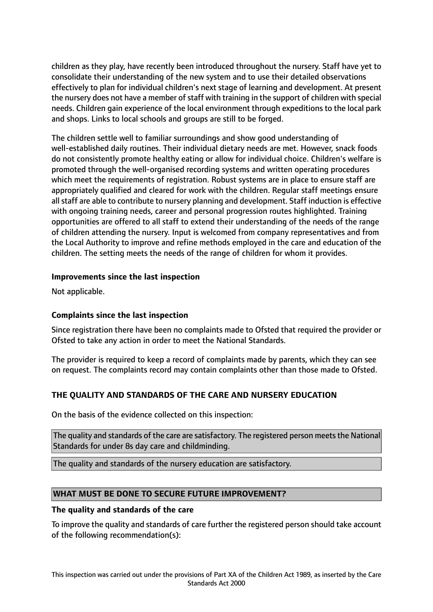children as they play, have recently been introduced throughout the nursery. Staff have yet to consolidate their understanding of the new system and to use their detailed observations effectively to plan for individual children's next stage of learning and development. At present the nursery does not have a member of staff with training in the support of children with special needs. Children gain experience of the local environment through expeditions to the local park and shops. Links to local schools and groups are still to be forged.

The children settle well to familiar surroundings and show good understanding of well-established daily routines. Their individual dietary needs are met. However, snack foods do not consistently promote healthy eating or allow for individual choice. Children's welfare is promoted through the well-organised recording systems and written operating procedures which meet the requirements of registration. Robust systems are in place to ensure staff are appropriately qualified and cleared for work with the children. Regular staff meetings ensure all staff are able to contribute to nursery planning and development. Staff induction is effective with ongoing training needs, career and personal progression routes highlighted. Training opportunities are offered to all staff to extend their understanding of the needs of the range of children attending the nursery. Input is welcomed from company representatives and from the Local Authority to improve and refine methods employed in the care and education of the children. The setting meets the needs of the range of children for whom it provides.

## **Improvements since the last inspection**

Not applicable.

## **Complaints since the last inspection**

Since registration there have been no complaints made to Ofsted that required the provider or Ofsted to take any action in order to meet the National Standards.

The provider is required to keep a record of complaints made by parents, which they can see on request. The complaints record may contain complaints other than those made to Ofsted.

## **THE QUALITY AND STANDARDS OF THE CARE AND NURSERY EDUCATION**

On the basis of the evidence collected on this inspection:

The quality and standards of the care are satisfactory. The registered person meets the National Standards for under 8s day care and childminding.

The quality and standards of the nursery education are satisfactory.

#### **WHAT MUST BE DONE TO SECURE FUTURE IMPROVEMENT?**

#### **The quality and standards of the care**

To improve the quality and standards of care further the registered person should take account of the following recommendation(s):